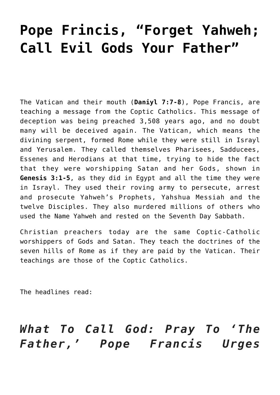# **[Pope Frincis, "Forget Yahweh;](https://yahwehsbranch.com/pope-frincis-forget-yahweh-call-evil-gods-your-father/) [Call Evil Gods Your Father"](https://yahwehsbranch.com/pope-frincis-forget-yahweh-call-evil-gods-your-father/)**

The Vatican and their mouth (**Daniyl 7:7-8**), Pope Francis, are teaching a message from the Coptic Catholics. This message of deception was being preached 3,508 years ago, and no doubt many will be deceived again. The Vatican, which means the divining serpent, formed Rome while they were still in Israyl and Yerusalem. They called themselves Pharisees, Sadducees, Essenes and Herodians at that time, trying to hide the fact that they were worshipping Satan and her Gods, shown in **Genesis 3:1-5**, as they did in Egypt and all the time they were in Israyl. They used their roving army to persecute, arrest and prosecute Yahweh's Prophets, Yahshua Messiah and the twelve Disciples. They also murdered millions of others who used the Name Yahweh and rested on the Seventh Day Sabbath.

Christian preachers today are the same Coptic-Catholic worshippers of Gods and Satan. They teach the doctrines of the seven hills of Rome as if they are paid by the Vatican. Their teachings are those of the Coptic Catholics.

The headlines read:

# *What To Call God: Pray To 'The Father,' Pope Francis Urges*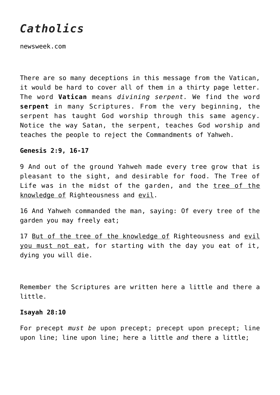# *Catholics*

newsweek.com

There are so many deceptions in this message from the Vatican, it would be hard to cover all of them in a thirty page letter. The word **Vatican** means *divining serpent.* We find the word **serpent** in many Scriptures. From the very beginning, the serpent has taught God worship through this same agency. Notice the way Satan, the serpent, teaches God worship and teaches the people to reject the Commandments of Yahweh.

#### **Genesis 2:9, 16-17**

9 And out of the ground Yahweh made every tree grow that is pleasant to the sight, and desirable for food. The Tree of Life was in the midst of the garden, and the tree of the knowledge of Righteousness and evil.

16 And Yahweh commanded the man, saying: Of every tree of the garden you may freely eat;

17 But of the tree of the knowledge of Righteousness and evil you must not eat, for starting with the day you eat of it, dying you will die.

Remember the Scriptures are written here a little and there a little.

#### **Isayah 28:10**

For precept *must be* upon precept; precept upon precept; line upon line; line upon line; here a little *and* there a little;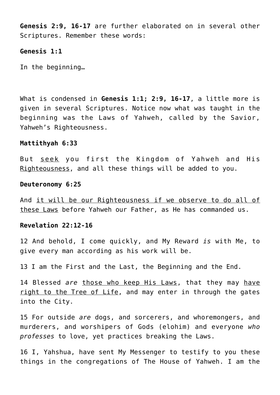**Genesis 2:9, 16-17** are further elaborated on in several other Scriptures. Remember these words:

#### **Genesis 1:1**

In the beginning…

What is condensed in **Genesis 1:1; 2:9, 16-17**, a little more is given in several Scriptures. Notice now what was taught in the beginning was the Laws of Yahweh, called by the Savior, Yahweh's Righteousness.

# **Mattithyah 6:33**

But seek you first the Kingdom of Yahweh and His Righteousness, and all these things will be added to you.

#### **Deuteronomy 6:25**

And it will be our Righteousness if we observe to do all of these Laws before Yahweh our Father, as He has commanded us.

# **Revelation 22:12-16**

12 And behold, I come quickly, and My Reward *is* with Me, to give every man according as his work will be.

13 I am the First and the Last, the Beginning and the End.

14 Blessed *are* those who keep His Laws, that they may have right to the Tree of Life, and may enter in through the gates into the City.

15 For outside *are* dogs, and sorcerers, and whoremongers, and murderers, and worshipers of Gods (elohim) and everyone *who professes* to love, yet practices breaking the Laws.

16 I, Yahshua, have sent My Messenger to testify to you these things in the congregations of The House of Yahweh. I am the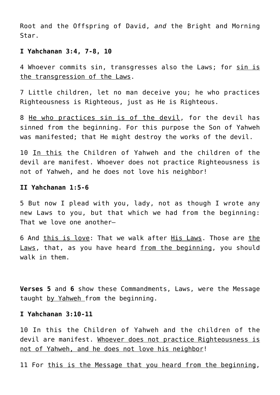Root and the Offspring of David, *and* the Bright and Morning Star.

# **I Yahchanan 3:4, 7-8, 10**

4 Whoever commits sin, transgresses also the Laws; for sin is the transgression of the Laws.

7 Little children, let no man deceive you; he who practices Righteousness is Righteous, just as He is Righteous.

8 He who practices sin is of the devil, for the devil has sinned from the beginning. For this purpose the Son of Yahweh was manifested; that He might destroy the works of the devil.

10 In this the Children of Yahweh and the children of the devil are manifest. Whoever does not practice Righteousness is not of Yahweh, and he does not love his neighbor!

#### **II Yahchanan 1:5-6**

5 But now I plead with you, lady, not as though I wrote any new Laws to you, but that which we had from the beginning: That we love one another—

6 And this is love: That we walk after His Laws. Those are the Laws, that, as you have heard from the beginning, you should walk in them.

**Verses 5** and **6** show these Commandments, Laws, were the Message taught by Yahweh from the beginning.

#### **I Yahchanan 3:10-11**

10 In this the Children of Yahweh and the children of the devil are manifest. Whoever does not practice Righteousness is not of Yahweh, and he does not love his neighbor!

11 For this is the Message that you heard from the beginning,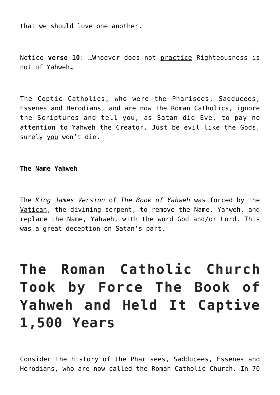that we should love one another.

Notice **verse 10**: …Whoever does not practice Righteousness is not of Yahweh…

The Coptic Catholics, who were the Pharisees, Sadducees, Essenes and Herodians, and are now the Roman Catholics, ignore the Scriptures and tell you, as Satan did Eve, to pay no attention to Yahweh the Creator. Just be evil like the Gods, surely you won't die.

# **The Name Yahweh**

The *King James Version* of *The Book of Yahweh* was forced by the Vatican, the divining serpent, to remove the Name, Yahweh, and replace the Name, Yahweh, with the word God and/or Lord. This was a great deception on Satan's part.

# **The Roman Catholic Church Took by Force The Book of Yahweh and Held It Captive 1,500 Years**

Consider the history of the Pharisees, Sadducees, Essenes and Herodians, who are now called the Roman Catholic Church. In 70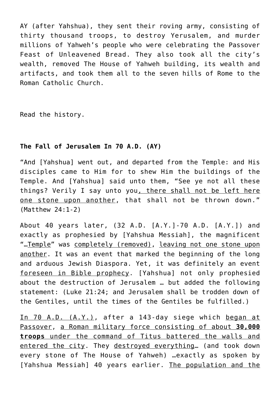AY (after Yahshua), they sent their roving army, consisting of thirty thousand troops, to destroy Yerusalem, and murder millions of Yahweh's people who were celebrating the Passover Feast of Unleavened Bread. They also took all the city's wealth, removed The House of Yahweh building, its wealth and artifacts, and took them all to the seven hills of Rome to the Roman Catholic Church.

Read the history.

# **The Fall of Jerusalem In 70 A.D. (AY)**

"And [Yahshua] went out, and departed from the Temple: and His disciples came to Him for to shew Him the buildings of the Temple. And [Yahshua] said unto them, "See ye not all these things? Verily I say unto you, there shall not be left here one stone upon another, that shall not be thrown down." (Matthew 24:1-2)

About 40 years later, (32 A.D. [A.Y.]-70 A.D. [A.Y.]) and exactly as prophesied by [Yahshua Messiah], the magnificent "…Temple" was completely (removed), leaving not one stone upon another. It was an event that marked the beginning of the long and arduous Jewish Diaspora. Yet, it was definitely an event foreseen in Bible prophecy. [Yahshua] not only prophesied about the destruction of Jerusalem … but added the following statement: (Luke 21:24; and Jerusalem shall be trodden down of the Gentiles, until the times of the Gentiles be fulfilled.)

In 70 A.D. (A.Y.), after a 143-day siege which began at Passover, a Roman military force consisting of about **30,000 troops** under the command of Titus battered the walls and entered the city. They destroyed everything… (and took down every stone of The House of Yahweh) …exactly as spoken by [Yahshua Messiah] 40 years earlier. The population and the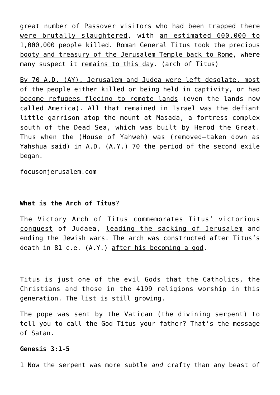great number of Passover visitors who had been trapped there were brutally slaughtered, with an estimated 600,000 to 1,000,000 people killed. Roman General Titus took the precious booty and treasury of the Jerusalem Temple back to Rome, where many suspect it remains to this day. (arch of Titus)

By 70 A.D. (AY), Jerusalem and Judea were left desolate, most of the people either killed or being held in captivity, or had become refugees fleeing to remote lands (even the lands now called America). All that remained in Israel was the defiant little garrison atop the mount at Masada, a fortress complex south of the Dead Sea, which was built by Herod the Great. Thus when the (House of Yahweh) was (removed–taken down as Yahshua said) in A.D. (A.Y.) 70 the period of the second exile began.

focusonjerusalem.com

# **What is the Arch of Titus**?

The Victory Arch of Titus commemorates Titus' victorious conquest of Judaea, leading the sacking of Jerusalem and ending the Jewish wars. The arch was constructed after Titus's death in 81 c.e. (A.Y.) after his becoming a god.

Titus is just one of the evil Gods that the Catholics, the Christians and those in the 4199 religions worship in this generation. The list is still growing.

The pope was sent by the Vatican (the divining serpent) to tell you to call the God Titus your father? That's the message of Satan.

# **Genesis 3:1-5**

1 Now the serpent was more subtle *and* crafty than any beast of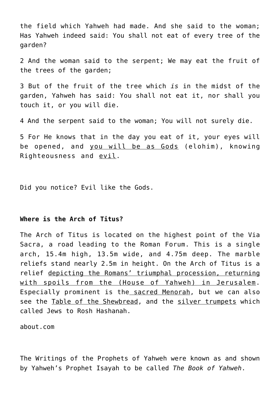the field which Yahweh had made. And she said to the woman; Has Yahweh indeed said: You shall not eat of every tree of the garden?

2 And the woman said to the serpent; We may eat the fruit of the trees of the garden;

3 But of the fruit of the tree which *is* in the midst of the garden, Yahweh has said: You shall not eat it, nor shall you touch it, or you will die.

4 And the serpent said to the woman; You will not surely die.

5 For He knows that in the day you eat of it, your eyes will be opened, and you will be as Gods (elohim), knowing Righteousness and evil.

Did you notice? Evil like the Gods.

### **Where is the Arch of Titus?**

The Arch of Titus is located on the highest point of the Via Sacra, a road leading to the Roman Forum. This is a single arch, 15.4m high, 13.5m wide, and 4.75m deep. The marble reliefs stand nearly 2.5m in height. On the Arch of Titus is a relief depicting the Romans' triumphal procession, returning with spoils from the (House of Yahweh) in Jerusalem. Especially prominent is the sacred Menorah, but we can also see the Table of the Shewbread, and the silver trumpets which called Jews to Rosh Hashanah.

about.com

The Writings of the Prophets of Yahweh were known as and shown by Yahweh's Prophet Isayah to be called *The Book of Yahweh*.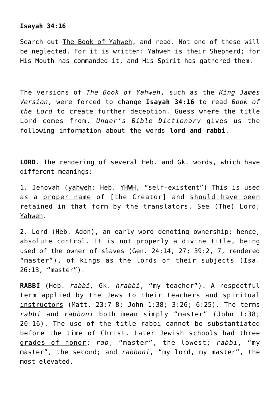#### **Isayah 34:16**

Search out The Book of Yahweh, and read. Not one of these will be neglected. For it is written: Yahweh is their Shepherd; for His Mouth has commanded it, and His Spirit has gathered them.

The versions of *The Book of Yahweh*, such as the *King James Version*, were forced to change **Isayah 34:16** to read *Book of the Lord* to create further deception. Guess where the title Lord comes from. *Unger's Bible Dictionary* gives us the following information about the words **lord and rabbi**.

**LORD**. The rendering of several Heb. and Gk. words, which have different meanings:

1. Jehovah (yahweh: Heb. YHWH, "self-existent") This is used as a proper name of [the Creator] and should have been retained in that form by the translators. See (The) Lord; Yahweh.

2. Lord (Heb. Adon), an early word denoting ownership; hence, absolute control. It is not properly a divine title, being used of the owner of slaves (Gen. 24:14, 27; 39:2, 7, rendered "master"), of kings as the lords of their subjects (Isa. 26:13, "master").

**RABBI** (Heb. *rabbi,* Gk. *hrabbi*, "my teacher"). A respectful term applied by the Jews to their teachers and spiritual instructors (Matt. 23:7-8; John 1:38; 3:26; 6:25). The terms *rabbi* and *rabboni* both mean simply "master" (John 1:38; 20:16). The use of the title rabbi cannot be substantiated before the time of Christ. Later Jewish schools had three grades of honor: *rab*, "master", the lowest; *rabbi*, "my master", the second; and *rabboni*, "my lord, my master", the most elevated.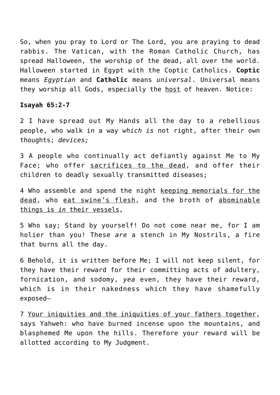So, when you pray to Lord or The Lord, you are praying to dead rabbis. The Vatican, with the Roman Catholic Church, has spread Halloween, the worship of the dead, all over the world. Halloween started in Egypt with the Coptic Catholics. **Coptic** means *Egyptian* and **Catholic** means *universal*. Universal means they worship all Gods, especially the host of heaven. Notice:

#### **Isayah 65:2-7**

2 I have spread out My Hands all the day to a rebellious people, who walk in a way *which is* not right, after their own thoughts; *devices;*

3 A people who continually act defiantly against Me to My Face; who offer sacrifices to the dead, and offer their children to deadly sexually transmitted diseases;

4 Who assemble and spend the night keeping memorials for the dead, who eat swine's flesh, and the broth of abominable things is *in* their vessels,

5 Who say; Stand by yourself! Do not come near me, for I am holier than you! These *are* a stench in My Nostrils, a fire that burns all the day.

6 Behold, it is written before Me; I will not keep silent, for they have their reward for their committing acts of adultery, fornication, and sodomy, *yea* even, they have their reward, which is in their nakedness which they have shamefully exposed—

7 Your iniquities and the iniquities of your fathers together, says Yahweh: who have burned incense upon the mountains, and blasphemed Me upon the hills. Therefore your reward will be allotted according to My Judgment.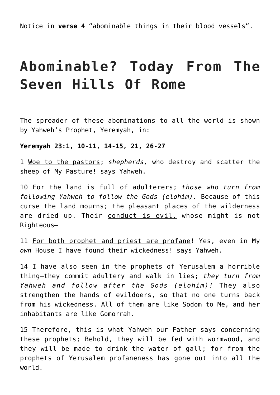# **Abominable? Today From The Seven Hills Of Rome**

The spreader of these abominations to all the world is shown by Yahweh's Prophet, Yeremyah, in:

**Yeremyah 23:1, 10-11, 14-15, 21, 26-27**

1 Woe to the pastors; *shepherds,* who destroy and scatter the sheep of My Pasture! says Yahweh.

10 For the land is full of adulterers; *those who turn from following Yahweh to follow the Gods (elohim).* Because of this curse the land mourns; the pleasant places of the wilderness are dried up. Their conduct is evil, whose might is not Righteous—

11 For both prophet and priest are profane! Yes, even in My *own* House I have found their wickedness! says Yahweh.

14 I have also seen in the prophets of Yerusalem a horrible thing—they commit adultery and walk in lies; *they turn from Yahweh and follow after the Gods (elohim)!* They also strengthen the hands of evildoers, so that no one turns back from his wickedness. All of them are like Sodom to Me, and her inhabitants are like Gomorrah.

15 Therefore, this is what Yahweh our Father says concerning these prophets; Behold, they will be fed with wormwood, and they will be made to drink the water of gall; for from the prophets of Yerusalem profaneness has gone out into all the world.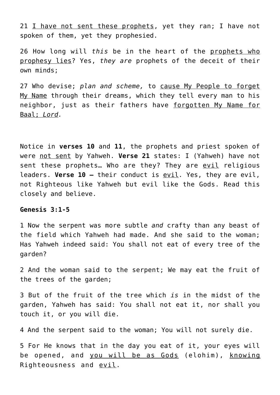21 I have not sent these prophets, yet they ran; I have not spoken of them, yet they prophesied.

26 How long will *this* be in the heart of the prophets who prophesy lies? Yes, *they are* prophets of the deceit of their own minds;

27 Who devise; *plan and scheme,* to cause My People to forget My Name through their dreams, which they tell every man to his neighbor, just as their fathers have forgotten My Name for Baal; *Lord.*

Notice in **verses 10** and **11**, the prophets and priest spoken of were not sent by Yahweh. **Verse 21** states: I (Yahweh) have not sent these prophets… Who are they? They are evil religious leaders. **Verse 10 –** their conduct is evil. Yes, they are evil, not Righteous like Yahweh but evil like the Gods. Read this closely and believe.

#### **Genesis 3:1-5**

1 Now the serpent was more subtle *and* crafty than any beast of the field which Yahweh had made. And she said to the woman; Has Yahweh indeed said: You shall not eat of every tree of the garden?

2 And the woman said to the serpent; We may eat the fruit of the trees of the garden;

3 But of the fruit of the tree which *is* in the midst of the garden, Yahweh has said: You shall not eat it, nor shall you touch it, or you will die.

4 And the serpent said to the woman; You will not surely die.

5 For He knows that in the day you eat of it, your eyes will be opened, and you will be as Gods (elohim), knowing Righteousness and evil.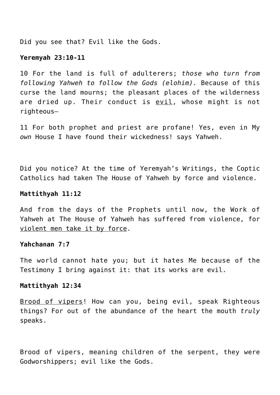Did you see that? Evil like the Gods.

#### **Yeremyah 23:10-11**

10 For the land is full of adulterers; *those who turn from following Yahweh to follow the Gods (elohim).* Because of this curse the land mourns; the pleasant places of the wilderness are dried up. Their conduct is evil, whose might is not righteous—

11 For both prophet and priest are profane! Yes, even in My *own* House I have found their wickedness! says Yahweh.

Did you notice? At the time of Yeremyah's Writings, the Coptic Catholics had taken The House of Yahweh by force and violence.

#### **Mattithyah 11:12**

And from the days of the Prophets until now, the Work of Yahweh at The House of Yahweh has suffered from violence, for violent men take it by force.

#### **Yahchanan 7:7**

The world cannot hate you; but it hates Me because of the Testimony I bring against it: that its works are evil.

#### **Mattithyah 12:34**

Brood of vipers! How can you, being evil, speak Righteous things? For out of the abundance of the heart the mouth *truly* speaks.

Brood of vipers, meaning children of the serpent, they were Godworshippers; evil like the Gods.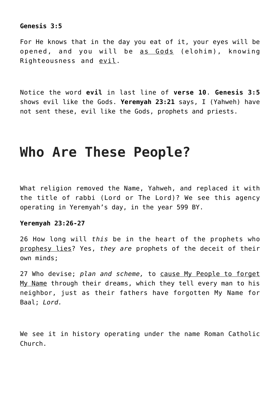# **Genesis 3:5**

For He knows that in the day you eat of it, your eyes will be opened, and you will be as Gods (elohim), knowing Righteousness and evil.

Notice the word **evil** in last line of **verse 10**. **Genesis 3:5** shows evil like the Gods. **Yeremyah 23:21** says, I (Yahweh) have not sent these, evil like the Gods, prophets and priests.

# **Who Are These People?**

What religion removed the Name, Yahweh, and replaced it with the title of rabbi (Lord or The Lord)? We see this agency operating in Yeremyah's day, in the year 599 BY.

#### **Yeremyah 23:26-27**

26 How long will *this* be in the heart of the prophets who prophesy lies? Yes, *they are* prophets of the deceit of their own minds;

27 Who devise; *plan and scheme,* to cause My People to forget My Name through their dreams, which they tell every man to his neighbor, just as their fathers have forgotten My Name for Baal; *Lord.*

We see it in history operating under the name Roman Catholic Church.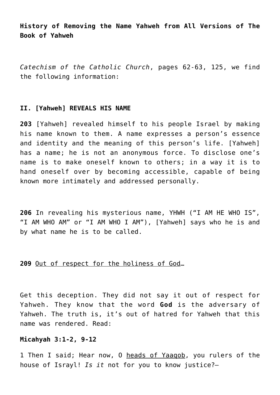**History of Removing the Name Yahweh from All Versions of The Book of Yahweh**

*Catechism of the Catholic Church*, pages 62-63, 125, we find the following information:

#### **II. [Yahweh] REVEALS HIS NAME**

**203** [Yahweh] revealed himself to his people Israel by making his name known to them. A name expresses a person's essence and identity and the meaning of this person's life. [Yahweh] has a name; he is not an anonymous force. To disclose one's name is to make oneself known to others; in a way it is to hand oneself over by becoming accessible, capable of being known more intimately and addressed personally.

**206** In revealing his mysterious name, YHWH ("I AM HE WHO IS", "I AM WHO AM" or "I AM WHO I AM"), [Yahweh] says who he is and by what name he is to be called.

#### **209** Out of respect for the holiness of God…

Get this deception. They did not say it out of respect for Yahweh. They know that the word **God** is the adversary of Yahweh. The truth is, it's out of hatred for Yahweh that this name was rendered. Read:

# **Micahyah 3:1-2, 9-12**

1 Then I said; Hear now, 0 heads of Yaaqob, you rulers of the house of Israyl! *Is it* not for you to know justice?—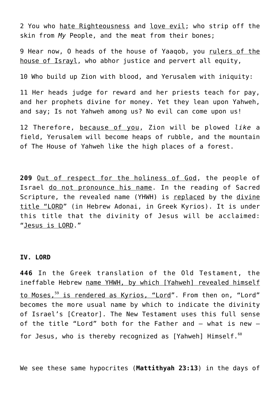2 You who hate Righteousness and love evil; who strip off the skin from *My* People, and the meat from their bones;

9 Hear now, O heads of the house of Yaaqob, you rulers of the house of Israyl, who abhor justice and pervert all equity,

10 Who build up Zion with blood, and Yerusalem with iniquity:

11 Her heads judge for reward and her priests teach for pay, and her prophets divine for money. Yet they lean upon Yahweh, and say; Is not Yahweh among us? No evil can come upon us!

12 Therefore, because of you, Zion will be plowed *like* a field, Yerusalem will become heaps of rubble, and the mountain of The House of Yahweh like the high places of a forest.

**209** Out of respect for the holiness of God, the people of Israel do not pronounce his name. In the reading of Sacred Scripture, the revealed name (YHWH) is replaced by the divine title "LORD" (in Hebrew Adonai, in Greek Kyrios). It is under this title that the divinity of Jesus will be acclaimed: "Jesus is LORD."

#### **IV. LORD**

**446** In the Greek translation of the Old Testament, the ineffable Hebrew name YHWH, by which [Yahweh] revealed himself to Moses,<sup>59</sup> is rendered as Kyrios, "Lord". From then on, "Lord" becomes the more usual name by which to indicate the divinity of Israel's [Creator]. The New Testament uses this full sense of the title "Lord" both for the Father and – what is new – for Jesus, who is thereby recognized as [Yahweh] Himself.<sup>60</sup>

We see these same hypocrites (**Mattithyah 23:13**) in the days of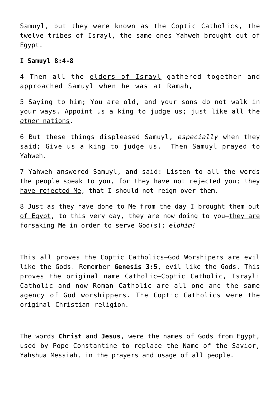Samuyl, but they were known as the Coptic Catholics, the twelve tribes of Israyl, the same ones Yahweh brought out of Egypt.

# **I Samuyl 8:4-8**

4 Then all the elders of Israyl gathered together and approached Samuyl when he was at Ramah,

5 Saying to him; You are old, and your sons do not walk in your ways. Appoint us a king to judge us; just like all the *other* nations.

6 But these things displeased Samuyl, *especially* when they said; Give us a king to judge us. Then Samuyl prayed to Yahweh.

7 Yahweh answered Samuyl, and said: Listen to all the words the people speak to you, for they have not rejected you; they have rejected Me, that I should not reign over them.

8 Just as they have done to Me from the day I brought them out of Egypt, to this very day, they are now doing to you-they are forsaking Me in order to serve God(s); *elohim!*

This all proves the Coptic Catholics—God Worshipers are evil like the Gods. Remember **Genesis 3:5**, evil like the Gods. This proves the original name Catholic—Coptic Catholic, Israyli Catholic and now Roman Catholic are all one and the same agency of God worshippers. The Coptic Catholics were the original Christian religion.

The words **Christ** and **Jesus**, were the names of Gods from Egypt, used by Pope Constantine to replace the Name of the Savior, Yahshua Messiah, in the prayers and usage of all people.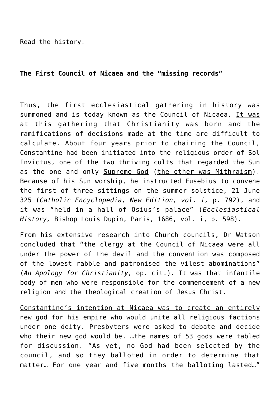Read the history.

# **The First Council of Nicaea and the "missing records"**

Thus, the first ecclesiastical gathering in history was summoned and is today known as the Council of Nicaea. It was at this gathering that Christianity was born and the ramifications of decisions made at the time are difficult to calculate. About four years prior to chairing the Council, Constantine had been initiated into the religious order of Sol Invictus, one of the two thriving cults that regarded the Sun as the one and only Supreme God (the other was Mithraism). Because of his Sun worship, he instructed Eusebius to convene the first of three sittings on the summer solstice, 21 June 325 (*Catholic Encyclopedia, New Edition, vol. i,* p. 792), and it was "held in a hall of Osius's palace" (*Ecclesiastical History,* Bishop Louis Dupin, Paris, 1686, vol. i, p. 598).

From his extensive research into Church councils, Dr Watson concluded that "the clergy at the Council of Nicaea were all under the power of the devil and the convention was composed of the lowest rabble and patronised the vilest abominations" (*An Apology for Christianity,* op. cit.). It was that infantile body of men who were responsible for the commencement of a new religion and the theological creation of Jesus Christ.

Constantine's intention at Nicaea was to create an entirely new god for his empire who would unite all religious factions under one deity. Presbyters were asked to debate and decide who their new god would be. …the names of 53 gods were tabled for discussion. "As yet, no God had been selected by the council, and so they balloted in order to determine that matter… For one year and five months the balloting lasted…"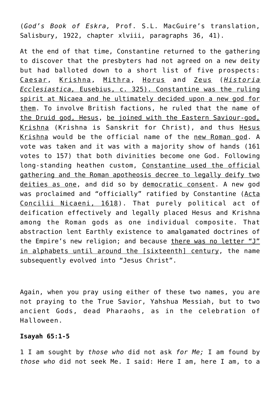(*God's Book of Eskra,* Prof. S.L. MacGuire's translation, Salisbury, 1922, chapter xlviii, paragraphs 36, 41).

At the end of that time, Constantine returned to the gathering to discover that the presbyters had not agreed on a new deity but had balloted down to a short list of five prospects: Caesar, Krishna, Mithra, Horus and Zeus (*Historia Ecclesiastica,* Eusebius, c. 325). Constantine was the ruling spirit at Nicaea and he ultimately decided upon a new god for them. To involve British factions, he ruled that the name of the Druid god, Hesus, be joined with the Eastern Saviour-god, Krishna (Krishna is Sanskrit for Christ), and thus Hesus Krishna would be the official name of the new Roman god. A vote was taken and it was with a majority show of hands (161 votes to 157) that both divinities become one God. Following long-standing heathen custom, Constantine used the official gathering and the Roman apotheosis decree to legally deify two deities as one, and did so by democratic consent. A new god was proclaimed and "officially" ratified by Constantine (Acta Concilii Nicaeni, 1618). That purely political act of deification effectively and legally placed Hesus and Krishna among the Roman gods as one individual composite. That abstraction lent Earthly existence to amalgamated doctrines of the Empire's new religion; and because there was no letter "J" in alphabets until around the [sixteenth] century, the name subsequently evolved into "Jesus Christ".

Again, when you pray using either of these two names, you are not praying to the True Savior, Yahshua Messiah, but to two ancient Gods, dead Pharaohs, as in the celebration of Halloween.

# **Isayah 65:1-5**

1 I am sought by *those who* did not ask *for Me;* I am found by *those who* did not seek Me. I said: Here I am, here I am, to a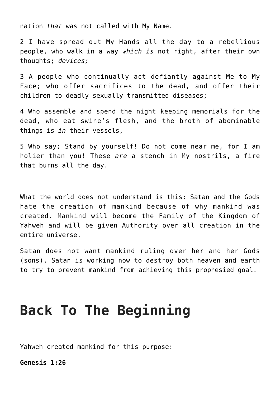nation *that* was not called with My Name.

2 I have spread out My Hands all the day to a rebellious people, who walk in a way *which is* not right, after their own thoughts; *devices;*

3 A people who continually act defiantly against Me to My Face; who offer sacrifices to the dead, and offer their children to deadly sexually transmitted diseases;

4 Who assemble and spend the night keeping memorials for the dead, who eat swine's flesh, and the broth of abominable things is *in* their vessels,

5 Who say; Stand by yourself! Do not come near me, for I am holier than you! These *are* a stench in My nostrils, a fire that burns all the day.

What the world does not understand is this: Satan and the Gods hate the creation of mankind because of why mankind was created. Mankind will become the Family of the Kingdom of Yahweh and will be given Authority over all creation in the entire universe.

Satan does not want mankind ruling over her and her Gods (sons). Satan is working now to destroy both heaven and earth to try to prevent mankind from achieving this prophesied goal.

# **Back To The Beginning**

Yahweh created mankind for this purpose:

**Genesis 1:26**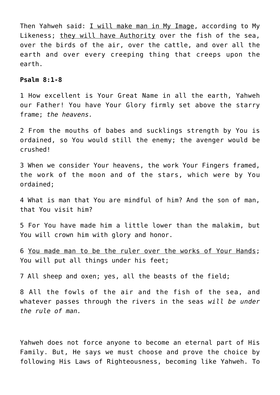Then Yahweh said: I will make man in My Image, according to My Likeness; they will have Authority over the fish of the sea, over the birds of the air, over the cattle, and over all the earth and over every creeping thing that creeps upon the earth.

#### **Psalm 8:1-8**

1 How excellent is Your Great Name in all the earth, Yahweh our Father! You have Your Glory firmly set above the starry frame; *the heavens.*

2 From the mouths of babes and sucklings strength by You is ordained, so You would still the enemy; the avenger would be crushed!

3 When we consider Your heavens, the work Your Fingers framed, the work of the moon and of the stars, which were by You ordained;

4 What is man that You are mindful of him? And the son of man, that You visit him?

5 For You have made him a little lower than the malakim, but You will crown him with glory and honor.

6 You made man to be the ruler over the works of Your Hands; You will put all things under his feet;

7 All sheep and oxen; yes, all the beasts of the field;

8 All the fowls of the air and the fish of the sea, and whatever passes through the rivers in the seas *will be under the rule of man.*

Yahweh does not force anyone to become an eternal part of His Family. But, He says we must choose and prove the choice by following His Laws of Righteousness, becoming like Yahweh. To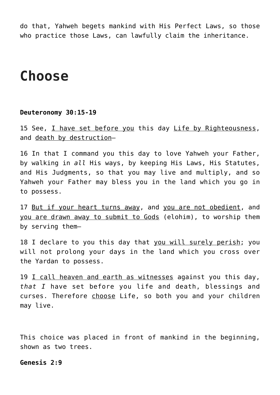do that, Yahweh begets mankind with His Perfect Laws, so those who practice those Laws, can lawfully claim the inheritance.

# **Choose**

#### **Deuteronomy 30:15-19**

15 See, I have set before you this day Life by Righteousness, and death by destruction-

16 In that I command you this day to love Yahweh your Father, by walking in *all* His ways, by keeping His Laws, His Statutes, and His Judgments, so that you may live and multiply, and so Yahweh your Father may bless you in the land which you go in to possess.

17 But if your heart turns away, and you are not obedient, and you are drawn away to submit to Gods (elohim), to worship them by serving them—

18 I declare to you this day that you will surely perish; you will not prolong your days in the land which you cross over the Yardan to possess.

19 I call heaven and earth as witnesses against you this day, *that I* have set before you life and death, blessings and curses. Therefore choose Life, so both you and your children may live.

This choice was placed in front of mankind in the beginning, shown as two trees.

### **Genesis 2:9**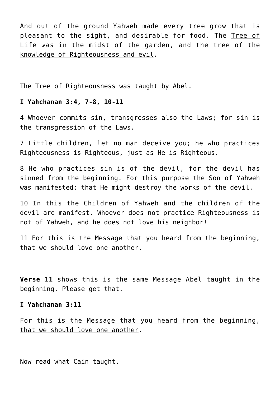And out of the ground Yahweh made every tree grow that is pleasant to the sight, and desirable for food. The Tree of Life *was* in the midst of the garden, and the tree of the knowledge of Righteousness and evil.

The Tree of Righteousness was taught by Abel.

#### **I Yahchanan 3:4, 7-8, 10-11**

4 Whoever commits sin, transgresses also the Laws; for sin is the transgression of the Laws.

7 Little children, let no man deceive you; he who practices Righteousness is Righteous, just as He is Righteous.

8 He who practices sin is of the devil, for the devil has sinned from the beginning. For this purpose the Son of Yahweh was manifested; that He might destroy the works of the devil.

10 In this the Children of Yahweh and the children of the devil are manifest. Whoever does not practice Righteousness is not of Yahweh, and he does not love his neighbor!

11 For this is the Message that you heard from the beginning, that we should love one another.

**Verse 11** shows this is the same Message Abel taught in the beginning. Please get that.

#### **I Yahchanan 3:11**

For this is the Message that you heard from the beginning, that we should love one another.

Now read what Cain taught.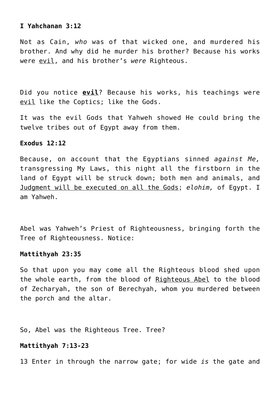#### **I Yahchanan 3:12**

Not as Cain, *who* was of that wicked one, and murdered his brother. And why did he murder his brother? Because his works were evil, and his brother's *were* Righteous.

Did you notice **evil**? Because his works, his teachings were evil like the Coptics; like the Gods.

It was the evil Gods that Yahweh showed He could bring the twelve tribes out of Egypt away from them.

#### **Exodus 12:12**

Because, on account that the Egyptians sinned *against Me,* transgressing My Laws, this night all the firstborn in the land of Egypt will be struck down; both men and animals, and Judgment will be executed on all the Gods; *elohim,* of Egypt. I am Yahweh.

Abel was Yahweh's Priest of Righteousness, bringing forth the Tree of Righteousness. Notice:

#### **Mattithyah 23:35**

So that upon you may come all the Righteous blood shed upon the whole earth, from the blood of Righteous Abel to the blood of Zecharyah, the son of Berechyah, whom you murdered between the porch and the altar.

So, Abel was the Righteous Tree. Tree?

#### **Mattithyah 7:13-23**

13 Enter in through the narrow gate; for wide *is* the gate and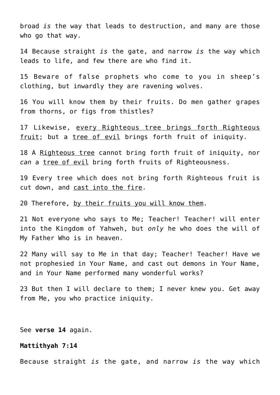broad *is* the way that leads to destruction, and many are those who go that way.

14 Because straight *is* the gate, and narrow *is* the way which leads to life, and few there are who find it.

15 Beware of false prophets who come to you in sheep's clothing, but inwardly they are ravening wolves.

16 You will know them by their fruits. Do men gather grapes from thorns, or figs from thistles?

17 Likewise, every Righteous tree brings forth Righteous fruit; but a tree of evil brings forth fruit of iniquity.

18 A Righteous tree cannot bring forth fruit of iniquity, nor *can* a tree of evil bring forth fruits of Righteousness.

19 Every tree which does not bring forth Righteous fruit is cut down, and cast into the fire.

20 Therefore, by their fruits you will know them.

21 Not everyone who says to Me; Teacher! Teacher! will enter into the Kingdom of Yahweh, but *only* he who does the will of My Father Who is in heaven.

22 Many will say to Me in that day; Teacher! Teacher! Have we not prophesied in Your Name, and cast out demons in Your Name, and in Your Name performed many wonderful works?

23 But then I will declare to them; I never knew you. Get away from Me, you who practice iniquity.

See **verse 14** again.

#### **Mattithyah 7:14**

Because straight *is* the gate, and narrow *is* the way which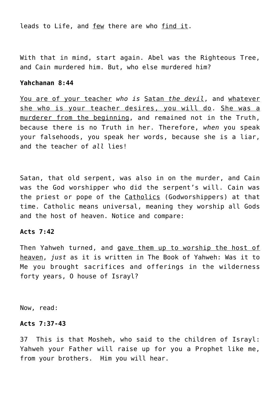leads to Life, and few there are who find it.

With that in mind, start again. Abel was the Righteous Tree, and Cain murdered him. But, who else murdered him?

#### **Yahchanan 8:44**

You are of your teacher *who is* Satan *the devil*, and whatever she who is your teacher desires, you will do. She was a murderer from the beginning, and remained not in the Truth, because there is no Truth in her. Therefore, *when* you speak your falsehoods, you speak her words, because she is a liar, and the teacher of *all* lies!

Satan, that old serpent, was also in on the murder, and Cain was the God worshipper who did the serpent's will. Cain was the priest or pope of the Catholics (Godworshippers) at that time. Catholic means universal, meaning they worship all Gods and the host of heaven. Notice and compare:

#### **Acts 7:42**

Then Yahweh turned, and gave them up to worship the host of heaven, *just* as it is written in The Book of Yahweh: Was it to Me you brought sacrifices and offerings in the wilderness forty years, O house of Israyl?

Now, read:

#### **Acts 7:37-43**

37 This is that Mosheh, who said to the children of Israyl: Yahweh your Father will raise up for you a Prophet like me, from your brothers. Him you will hear.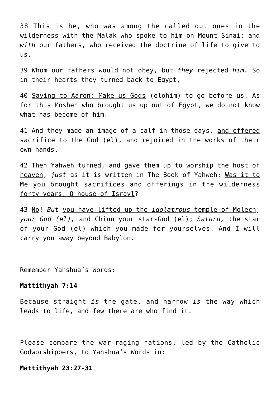38 This is he, who was among the called out ones in the wilderness with the Malak who spoke to him on Mount Sinai; and *with* our fathers, who received the doctrine of life to give to us,

39 Whom our fathers would not obey, but *they* rejected *him.* So in their hearts they turned back to Egypt,

40 Saying to Aaron: Make us Gods (elohim) to go before us. As for this Mosheh who brought us up out of Egypt, we do not know what has become of him.

41 And they made an image of a calf in those days, and offered sacrifice to the God (el), and rejoiced in the works of their own hands.

42 Then Yahweh turned, and gave them up to worship the host of heaven, *just* as it is written in The Book of Yahweh: Was it to Me you brought sacrifices and offerings in the wilderness forty years, O house of Israyl?

43 No! *But* you have lifted up the *idolatrous* temple of Molech; *your God (el),* and Chiun your star-God (el); *Saturn,* the star of your God (el) which you made for yourselves. And I will carry you away beyond Babylon.

Remember Yahshua's Words:

#### **Mattithyah 7:14**

Because straight *is* the gate, and narrow *is* the way which leads to life, and few there are who find it.

Please compare the war-raging nations, led by the Catholic Godworshippers, to Yahshua's Words in:

#### **Mattithyah 23:27-31**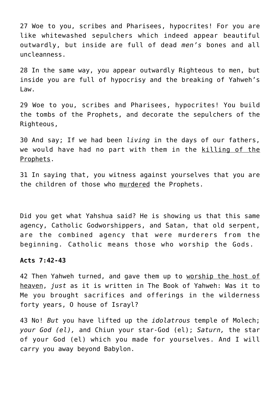27 Woe to you, scribes and Pharisees, hypocrites! For you are like whitewashed sepulchers which indeed appear beautiful outwardly, but inside are full of dead *men's* bones and all uncleanness.

28 In the same way, you appear outwardly Righteous to men, but inside you are full of hypocrisy and the breaking of Yahweh's Law.

29 Woe to you, scribes and Pharisees, hypocrites! You build the tombs of the Prophets, and decorate the sepulchers of the Righteous,

30 And say; If we had been *living* in the days of our fathers, we would have had no part with them in the killing of the Prophets.

31 In saying that, you witness against yourselves that you are the children of those who murdered the Prophets.

Did you get what Yahshua said? He is showing us that this same agency, Catholic Godworshippers, and Satan, that old serpent, are the combined agency that were murderers from the beginning. Catholic means those who worship the Gods.

#### **Acts 7:42-43**

42 Then Yahweh turned, and gave them up to worship the host of heaven, *just* as it is written in The Book of Yahweh: Was it to Me you brought sacrifices and offerings in the wilderness forty years, O house of Israyl?

43 No! *But* you have lifted up the *idolatrous* temple of Molech; *your God (el),* and Chiun your star-God (el); *Saturn,* the star of your God (el) which you made for yourselves. And I will carry you away beyond Babylon.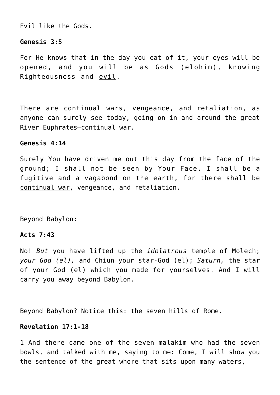Evil like the Gods.

### **Genesis 3:5**

For He knows that in the day you eat of it, your eyes will be opened, and you will be as Gods (elohim), knowing Righteousness and evil.

There are continual wars, vengeance, and retaliation, as anyone can surely see today, going on in and around the great River Euphrates—continual war.

### **Genesis 4:14**

Surely You have driven me out this day from the face of the ground; I shall not be seen by Your Face. I shall be a fugitive and a vagabond on the earth, for there shall be continual war, vengeance, and retaliation.

Beyond Babylon:

# **Acts 7:43**

No! *But* you have lifted up the *idolatrous* temple of Molech; *your God (el),* and Chiun your star-God (el); *Saturn,* the star of your God (el) which you made for yourselves. And I will carry you away beyond Babylon.

Beyond Babylon? Notice this: the seven hills of Rome.

#### **Revelation 17:1-18**

1 And there came one of the seven malakim who had the seven bowls, and talked with me, saying to me: Come, I will show you the sentence of the great whore that sits upon many waters,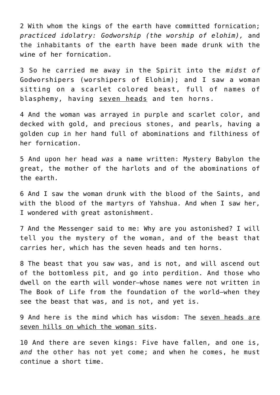2 With whom the kings of the earth have committed fornication; *practiced idolatry: Godworship (the worship of elohim),* and the inhabitants of the earth have been made drunk with the wine of her fornication.

3 So he carried me away in the Spirit into the *midst of* Godworshipers (worshipers of Elohim); and I saw a woman sitting on a scarlet colored beast, full of names of blasphemy, having seven heads and ten horns.

4 And the woman was arrayed in purple and scarlet color, and decked with gold, and precious stones, and pearls, having a golden cup in her hand full of abominations and filthiness of her fornication.

5 And upon her head *was* a name written: Mystery Babylon the great, the mother of the harlots and of the abominations of the earth.

6 And I saw the woman drunk with the blood of the Saints, and with the blood of the martyrs of Yahshua. And when I saw her, I wondered with great astonishment.

7 And the Messenger said to me: Why are you astonished? I will tell you the mystery of the woman, and of the beast that carries her, which has the seven heads and ten horns.

8 The beast that you saw was, and is not, and will ascend out of the bottomless pit, and go into perdition. And those who dwell on the earth will wonder—whose names were not written in The Book of Life from the foundation of the world—when they see the beast that was, and is not, and yet is.

9 And here is the mind which has wisdom: The seven heads are seven hills on which the woman sits.

10 And there are seven kings: Five have fallen, and one is, *and* the other has not yet come; and when he comes, he must continue a short time.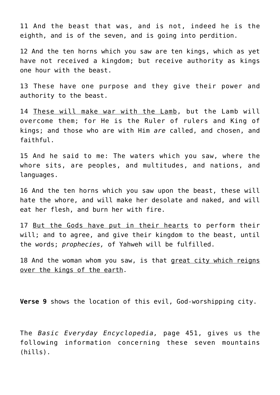11 And the beast that was, and is not, indeed he is the eighth, and is of the seven, and is going into perdition.

12 And the ten horns which you saw are ten kings, which as yet have not received a kingdom; but receive authority as kings one hour with the beast.

13 These have one purpose and they give their power and authority to the beast.

14 These will make war with the Lamb, but the Lamb will overcome them; for He is the Ruler of rulers and King of kings; and those who are with Him *are* called, and chosen, and faithful.

15 And he said to me: The waters which you saw, where the whore sits, are peoples, and multitudes, and nations, and languages.

16 And the ten horns which you saw upon the beast, these will hate the whore, and will make her desolate and naked, and will eat her flesh, and burn her with fire.

17 But the Gods have put in their hearts to perform their will; and to agree, and give their kingdom to the beast, until the words; *prophecies,* of Yahweh will be fulfilled.

18 And the woman whom you saw, is that great city which reigns over the kings of the earth.

**Verse 9** shows the location of this evil, God-worshipping city.

The *Basic Everyday Encyclopedia,* page 451, gives us the following information concerning these seven mountains (hills).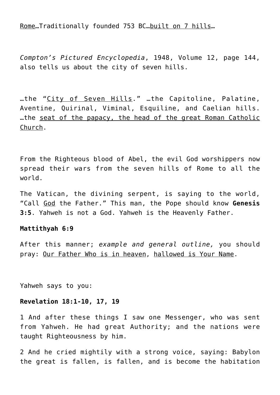Rome…Traditionally founded 753 BC…built on 7 hills…

*Compton's Pictured Encyclopedia*, 1948, Volume 12, page 144, also tells us about the city of seven hills.

…the "City of Seven Hills." …the Capitoline, Palatine, Aventine, Quirinal, Viminal, Esquiline, and Caelian hills. …the seat of the papacy, the head of the great Roman Catholic Church.

From the Righteous blood of Abel, the evil God worshippers now spread their wars from the seven hills of Rome to all the world.

The Vatican, the divining serpent, is saying to the world, "Call God the Father." This man, the Pope should know **Genesis 3:5**. Yahweh is not a God. Yahweh is the Heavenly Father.

#### **Mattithyah 6:9**

After this manner; *example and general outline,* you should pray: Our Father Who is in heaven, hallowed is Your Name.

Yahweh says to you:

#### **Revelation 18:1-10, 17, 19**

1 And after these things I saw one Messenger, who was sent from Yahweh. He had great Authority; and the nations were taught Righteousness by him.

2 And he cried mightily with a strong voice, saying: Babylon the great is fallen, is fallen, and is become the habitation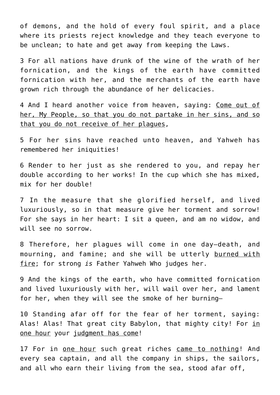of demons, and the hold of every foul spirit, and a place where its priests reject knowledge and they teach everyone to be unclean; to hate and get away from keeping the Laws.

3 For all nations have drunk of the wine of the wrath of her fornication, and the kings of the earth have committed fornication with her, and the merchants of the earth have grown rich through the abundance of her delicacies.

4 And I heard another voice from heaven, saying: Come out of her, My People, so that you do not partake in her sins, and so that you do not receive of her plagues,

5 For her sins have reached unto heaven, and Yahweh has remembered her iniquities!

6 Render to her just as she rendered to you, and repay her double according to her works! In the cup which she has mixed, mix for her double!

7 In the measure that she glorified herself, and lived luxuriously, so in that measure give her torment and sorrow! For she says in her heart: I sit a queen, and am no widow, and will see no sorrow.

8 Therefore, her plagues will come in one day—death, and mourning, and famine; and she will be utterly burned with fire; for strong *is* Father Yahweh Who judges her.

9 And the kings of the earth, who have committed fornication and lived luxuriously with her, will wail over her, and lament for her, when they will see the smoke of her burning—

10 Standing afar off for the fear of her torment, saying: Alas! Alas! That great city Babylon, that mighty city! For in one hour your judgment has come!

17 For in <u>one hour</u> such great riches came to nothing! And every sea captain, and all the company in ships, the sailors, and all who earn their living from the sea, stood afar off,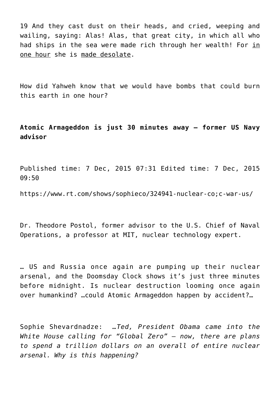19 And they cast dust on their heads, and cried, weeping and wailing, saying: Alas! Alas, that great city, in which all who had ships in the sea were made rich through her wealth! For in one hour she is made desolate.

How did Yahweh know that we would have bombs that could burn this earth in one hour?

**Atomic Armageddon is just 30 minutes away – former US Navy advisor**

Published time: 7 Dec, 2015 07:31 Edited time: 7 Dec, 2015 09:50

https://www.rt.com/shows/sophieco/324941-nuclear-co;c-war-us/

Dr. Theodore Postol, former advisor to the U.S. Chief of Naval Operations, a professor at MIT, nuclear technology expert.

… US and Russia once again are pumping up their nuclear arsenal, and the Doomsday Clock shows it's just three minutes before midnight. Is nuclear destruction looming once again over humankind? …could Atomic Armageddon happen by accident?…

Sophie Shevardnadze: *…Ted, President Obama came into the White House calling for "Global Zero" – now, there are plans to spend a trillion dollars on an overall of entire nuclear arsenal. Why is this happening?*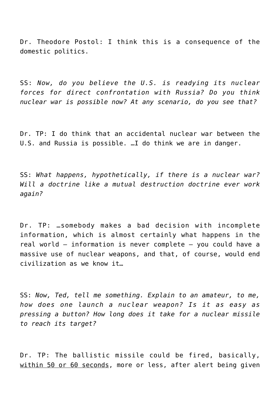Dr. Theodore Postol: I think this is a consequence of the domestic politics.

SS: *Now, do you believe the U.S. is readying its nuclear forces for direct confrontation with Russia? Do you think nuclear war is possible now? At any scenario, do you see that?*

Dr. TP: I do think that an accidental nuclear war between the U.S. and Russia is possible. …I do think we are in danger.

SS: *What happens, hypothetically, if there is a nuclear war? Will a doctrine like a mutual destruction doctrine ever work again?*

Dr. TP: …somebody makes a bad decision with incomplete information, which is almost certainly what happens in the real world – information is never complete – you could have a massive use of nuclear weapons, and that, of course, would end civilization as we know it…

SS: *Now, Ted, tell me something. Explain to an amateur, to me, how does one launch a nuclear weapon? Is it as easy as pressing a button? How long does it take for a nuclear missile to reach its target?*

Dr. TP: The ballistic missile could be fired, basically, within 50 or 60 seconds, more or less, after alert being given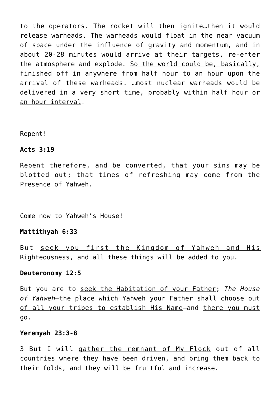to the operators. The rocket will then ignite…then it would release warheads. The warheads would float in the near vacuum of space under the influence of gravity and momentum, and in about 20-28 minutes would arrive at their targets, re-enter the atmosphere and explode. So the world could be, basically, finished off in anywhere from half hour to an hour upon the arrival of these warheads. …most nuclear warheads would be delivered in a very short time, probably within half hour or an hour interval.

#### Repent!

#### **Acts 3:19**

Repent therefore, and be converted, that your sins may be blotted out; that times of refreshing may come from the Presence of Yahweh.

Come now to Yahweh's House!

#### **Mattithyah 6:33**

But seek you first the Kingdom of Yahweh and His Righteousness, and all these things will be added to you.

#### **Deuteronomy 12:5**

But you are to seek the Habitation of your Father; *The House of Yahweh—*the place which Yahweh your Father shall choose out of all your tribes to establish His Name-and there you must go.

#### **Yeremyah 23:3-8**

3 But I will gather the remnant of My Flock out of all countries where they have been driven, and bring them back to their folds, and they will be fruitful and increase.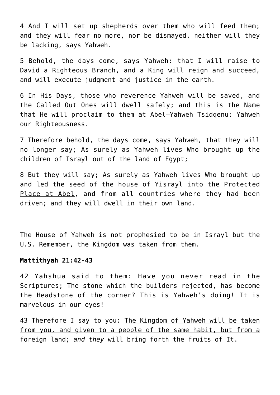4 And I will set up shepherds over them who will feed them; and they will fear no more, nor be dismayed, neither will they be lacking, says Yahweh.

5 Behold, the days come, says Yahweh: that I will raise to David a Righteous Branch, and a King will reign and succeed, and will execute judgment and justice in the earth.

6 In His Days, those who reverence Yahweh will be saved, and the Called Out Ones will dwell safely; and this is the Name that He will proclaim to them at Abel–Yahweh Tsidqenu: Yahweh our Righteousness.

7 Therefore behold, the days come, says Yahweh, that they will no longer say; As surely as Yahweh lives Who brought up the children of Israyl out of the land of Egypt;

8 But they will say; As surely as Yahweh lives Who brought up and led the seed of the house of Yisrayl into the Protected Place at Abel, and from all countries where they had been driven; and they will dwell in their own land.

The House of Yahweh is not prophesied to be in Israyl but the U.S. Remember, the Kingdom was taken from them.

#### **Mattithyah 21:42-43**

42 Yahshua said to them: Have you never read in the Scriptures; The stone which the builders rejected, has become the Headstone of the corner? This is Yahweh's doing! It is marvelous in our eyes!

43 Therefore I say to you: The Kingdom of Yahweh will be taken from you, and given to a people of the same habit, but from a foreign land; *and they* will bring forth the fruits of It.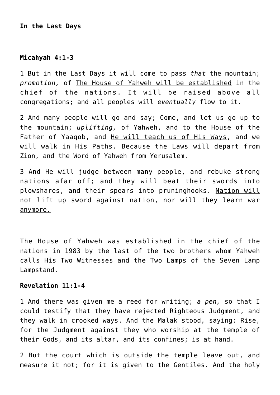#### **In the Last Days**

#### **Micahyah 4:1-3**

1 But in the Last Days it will come to pass *that* the mountain; *promotion,* of The House of Yahweh will be established in the chief of the nations. It will be raised above all congregations; and all peoples will *eventually* flow to it.

2 And many people will go and say; Come, and let us go up to the mountain; *uplifting,* of Yahweh, and to the House of the Father of Yaaqob, and He will teach us of His Ways, and we will walk in His Paths. Because the Laws will depart from Zion, and the Word of Yahweh from Yerusalem.

3 And He will judge between many people, and rebuke strong nations afar off; and they will beat their swords into plowshares, and their spears into pruninghooks. Nation will not lift up sword against nation, nor will they learn war anymore.

The House of Yahweh was established in the chief of the nations in 1983 by the last of the two brothers whom Yahweh calls His Two Witnesses and the Two Lamps of the Seven Lamp Lampstand.

### **Revelation 11:1-4**

1 And there was given me a reed for writing; *a pen,* so that I could testify that they have rejected Righteous Judgment, and they walk in crooked ways. And the Malak stood, saying: Rise, for the Judgment against they who worship at the temple of their Gods, and its altar, and its confines; is at hand.

2 But the court which is outside the temple leave out, and measure it not; for it is given to the Gentiles. And the holy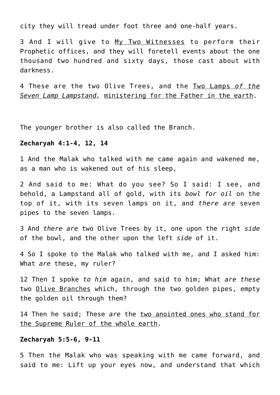city they will tread under foot three and one-half years.

3 And I will give to My Two Witnesses to perform their Prophetic offices, and they will foretell events about the one thousand two hundred and sixty days, those cast about with darkness.

4 These are the two Olive Trees, and the Two Lamps *of the Seven Lamp Lampstand,* ministering for the Father in the earth.

The younger brother is also called the Branch.

#### **Zecharyah 4:1-4, 12, 14**

1 And the Malak who talked with me came again and wakened me, as a man who is wakened out of his sleep,

2 And said to me: What do you see? So I said: I see, and behold, a Lampstand all of gold, with its *bowl for oil* on the top of it, with its seven lamps on it, and *there are* seven pipes to the seven lamps.

3 And *there are* two Olive Trees by it, one upon the right *side* of the bowl, and the other upon the left *side* of it.

4 So I spoke to the Malak who talked with me, and I asked him: What *are* these, my ruler?

12 Then I spoke *to him* again, and said to him; What *are these* two Olive Branches which, through the two golden pipes, empty the golden oil through them?

14 Then he said; These *are* the two anointed ones who stand for the Supreme Ruler of the whole earth.

#### **Zecharyah 5:5-6, 9-11**

5 Then the Malak who was speaking with me came forward, and said to me: Lift up your eyes now, and understand that which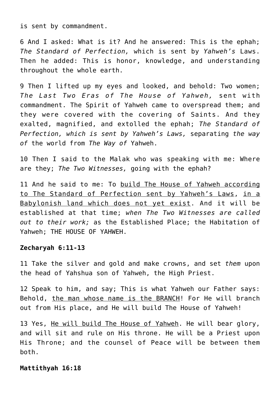is sent by commandment.

6 And I asked: What is it? And he answered: This is the ephah; *The Standard of Perfection,* which is sent by *Yahweh's* Laws. Then he added: This is honor, knowledge, and understanding throughout the whole earth.

9 Then I lifted up my eyes and looked, and behold: Two women; *The Last Two Eras of The House of Yahweh,* sent with commandment. The Spirit of Yahweh came to overspread them; and they were covered with the covering of Saints. And they exalted, magnified, and extolled the ephah; *The Standard of Perfection, which is sent by Yahweh's Laws,* separating *the way of* the world from *The Way of* Yahweh.

10 Then I said to the Malak who was speaking with me: Where are they; *The Two Witnesses,* going with the ephah?

11 And he said to me: To build The House of Yahweh according to The Standard of Perfection sent by Yahweh's Laws, in a Babylonish land which does not yet exist. And it will be established at that time; *when The Two Witnesses are called out to their work;* as the Established Place; the Habitation of Yahweh; THE HOUSE OF YAHWEH.

#### **Zecharyah 6:11-13**

11 Take the silver and gold and make crowns, and set *them* upon the head of Yahshua son of Yahweh, the High Priest.

12 Speak to him, and say; This is what Yahweh our Father says: Behold, the man whose name is the BRANCH! For He will branch out from His place, and He will build The House of Yahweh!

13 Yes, He will build The House of Yahweh. He will bear glory, and will sit and rule on His throne. He will be a Priest upon His Throne; and the counsel of Peace will be between them both.

#### **Mattithyah 16:18**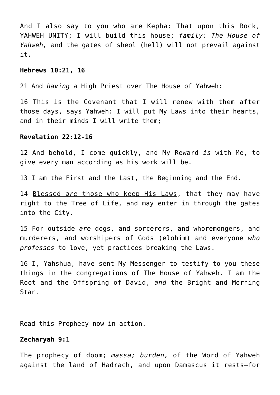And I also say to you who are Kepha: That upon this Rock, YAHWEH UNITY; I will build this house; *family: The House of Yahweh,* and the gates of sheol (hell) will not prevail against it.

#### **Hebrews 10:21, 16**

21 And *having* a High Priest over The House of Yahweh:

16 This is the Covenant that I will renew with them after those days, says Yahweh: I will put My Laws into their hearts, and in their minds I will write them;

### **Revelation 22:12-16**

12 And behold, I come quickly, and My Reward *is* with Me, to give every man according as his work will be.

13 I am the First and the Last, the Beginning and the End.

14 Blessed *are* those who keep His Laws, that they may have right to the Tree of Life, and may enter in through the gates into the City.

15 For outside *are* dogs, and sorcerers, and whoremongers, and murderers, and worshipers of Gods (elohim) and everyone *who professes* to love, yet practices breaking the Laws.

16 I, Yahshua, have sent My Messenger to testify to you these things in the congregations of The House of Yahweh. I am the Root and the Offspring of David, *and* the Bright and Morning Star.

Read this Prophecy now in action.

#### **Zecharyah 9:1**

The prophecy of doom; *massa; burden,* of the Word of Yahweh against the land of Hadrach, and upon Damascus it rests—for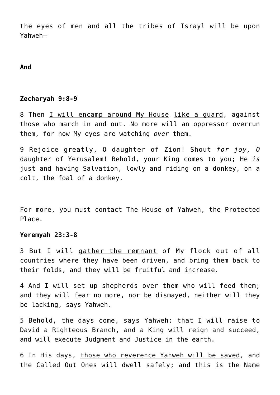the eyes of men and all the tribes of Israyl will be upon Yahweh—

#### **And**

#### **Zecharyah 9:8-9**

8 Then I will encamp around My House like a quard, against those who march in and out. No more will an oppressor overrun them, for now My eyes are watching *over* them.

9 Rejoice greatly, O daughter of Zion! Shout *for joy, O* daughter of Yerusalem! Behold, your King comes to you; He *is* just and having Salvation, lowly and riding on a donkey, on a colt, the foal of a donkey.

For more, you must contact The House of Yahweh, the Protected Place.

#### **Yeremyah 23:3-8**

3 But I will gather the remnant of My flock out of all countries where they have been driven, and bring them back to their folds, and they will be fruitful and increase.

4 And I will set up shepherds over them who will feed them; and they will fear no more, nor be dismayed, neither will they be lacking, says Yahweh.

5 Behold, the days come, says Yahweh: that I will raise to David a Righteous Branch, and a King will reign and succeed, and will execute Judgment and Justice in the earth.

6 In His days, those who reverence Yahweh will be saved, and the Called Out Ones will dwell safely; and this is the Name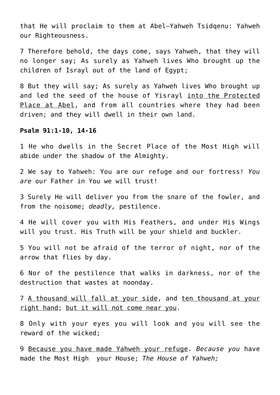that He will proclaim to them at Abel–Yahweh Tsidqenu: Yahweh our Righteousness.

7 Therefore behold, the days come, says Yahweh, that they will no longer say; As surely as Yahweh lives Who brought up the children of Israyl out of the land of Egypt;

8 But they will say; As surely as Yahweh lives Who brought up and led the seed of the house of Yisrayl into the Protected Place at Abel, and from all countries where they had been driven; and they will dwell in their own land.

# **Psalm 91:1-10, 14-16**

1 He who dwells in the Secret Place of the Most High will abide under the shadow of the Almighty.

2 We say to Yahweh: You are our refuge and our fortress! *You are* our Father in You we will trust!

3 Surely He will deliver you from the snare of the fowler, and from the noisome; *deadly,* pestilence.

4 He will cover you with His Feathers, and under His Wings will you trust. His Truth will be your shield and buckler.

5 You will not be afraid of the terror of night, nor of the arrow that flies by day.

6 Nor of the pestilence that walks in darkness, nor of the destruction that wastes at noonday.

7 A thousand will fall at your side, and ten thousand at your right hand; but it will not come near you.

8 Only with your eyes you will look and you will see the reward of the wicked;

9 Because you have made Yahweh your refuge. *Because you* have made the Most High your House; *The House of Yahweh;*